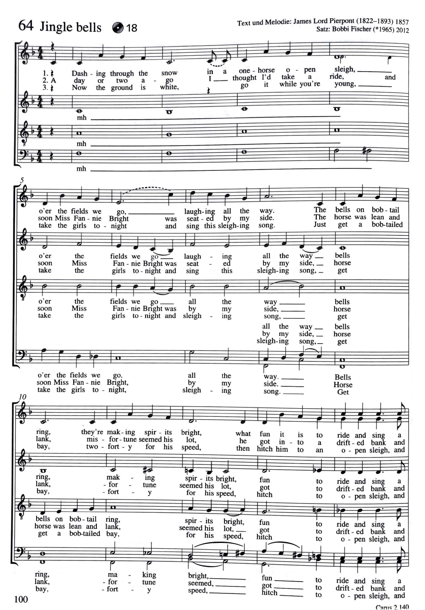

Carus 2.140